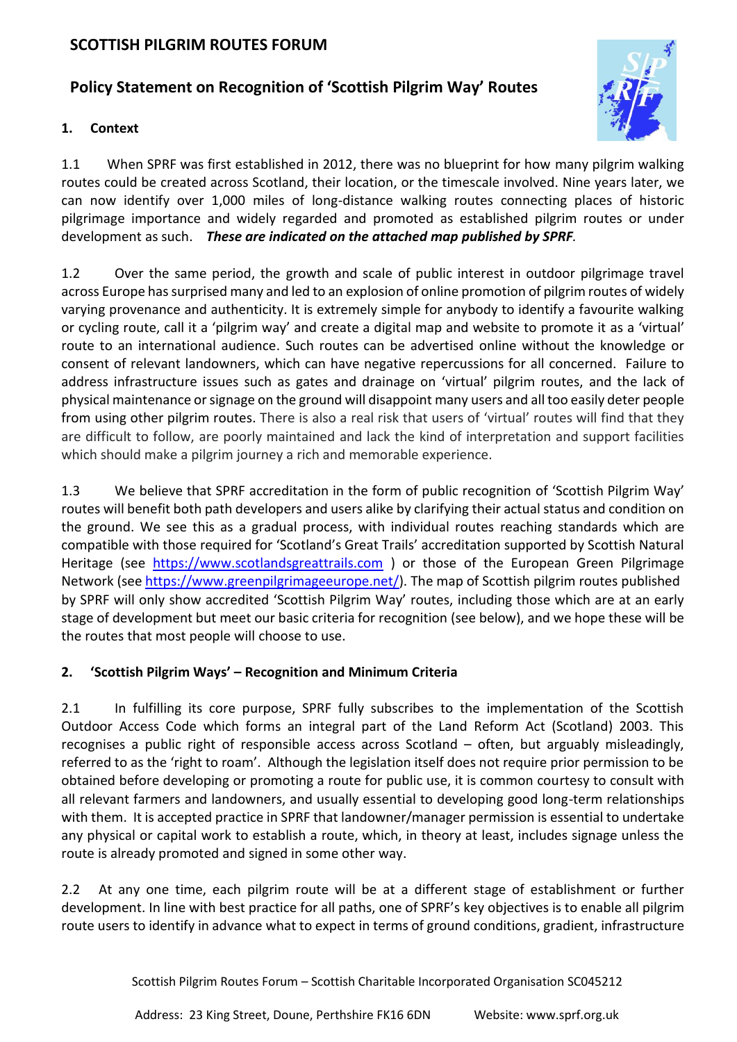# **SCOTTISH PILGRIM ROUTES FORUM**

# **Policy Statement on Recognition of 'Scottish Pilgrim Way' Routes**

### **1. Context**

1.1 When SPRF was first established in 2012, there was no blueprint for how many pilgrim walking routes could be created across Scotland, their location, or the timescale involved. Nine years later, we can now identify over 1,000 miles of long-distance walking routes connecting places of historic pilgrimage importance and widely regarded and promoted as established pilgrim routes or under development as such. *These are indicated on the attached map published by SPRF.*

1.2 Over the same period, the growth and scale of public interest in outdoor pilgrimage travel across Europe has surprised many and led to an explosion of online promotion of pilgrim routes of widely varying provenance and authenticity. It is extremely simple for anybody to identify a favourite walking or cycling route, call it a 'pilgrim way' and create a digital map and website to promote it as a 'virtual' route to an international audience. Such routes can be advertised online without the knowledge or consent of relevant landowners, which can have negative repercussions for all concerned. Failure to address infrastructure issues such as gates and drainage on 'virtual' pilgrim routes, and the lack of physical maintenance or signage on the ground will disappoint many users and all too easily deter people from using other pilgrim routes. There is also a real risk that users of 'virtual' routes will find that they are difficult to follow, are poorly maintained and lack the kind of interpretation and support facilities which should make a pilgrim journey a rich and memorable experience.

1.3 We believe that SPRF accreditation in the form of public recognition of 'Scottish Pilgrim Way' routes will benefit both path developers and users alike by clarifying their actual status and condition on the ground. We see this as a gradual process, with individual routes reaching standards which are compatible with those required for 'Scotland's Great Trails' accreditation supported by Scottish Natural Heritage (see [https://www.scotlandsgreattrails.com](https://www.scotlandsgreattrails.com/) ) or those of the European Green Pilgrimage Network (see [https://www.greenpilgrimageeurope.net/\)](https://www.greenpilgrimageeurope.net/). The map of Scottish pilgrim routes published by SPRF will only show accredited 'Scottish Pilgrim Way' routes, including those which are at an early stage of development but meet our basic criteria for recognition (see below), and we hope these will be the routes that most people will choose to use.

# **2. 'Scottish Pilgrim Ways' – Recognition and Minimum Criteria**

2.1 In fulfilling its core purpose, SPRF fully subscribes to the implementation of the Scottish Outdoor Access Code which forms an integral part of the Land Reform Act (Scotland) 2003. This recognises a public right of responsible access across Scotland – often, but arguably misleadingly, referred to as the 'right to roam'. Although the legislation itself does not require prior permission to be obtained before developing or promoting a route for public use, it is common courtesy to consult with all relevant farmers and landowners, and usually essential to developing good long-term relationships with them. It is accepted practice in SPRF that landowner/manager permission is essential to undertake any physical or capital work to establish a route, which, in theory at least, includes signage unless the route is already promoted and signed in some other way.

2.2 At any one time, each pilgrim route will be at a different stage of establishment or further development. In line with best practice for all paths, one of SPRF's key objectives is to enable all pilgrim route users to identify in advance what to expect in terms of ground conditions, gradient, infrastructure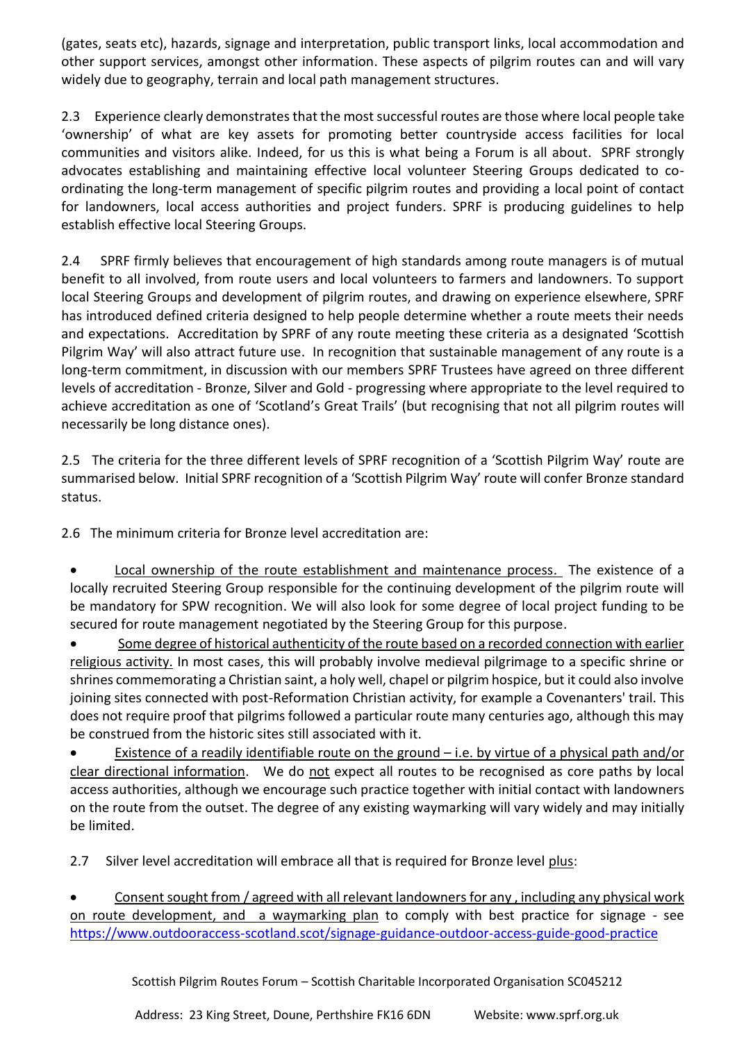(gates, seats etc), hazards, signage and interpretation, public transport links, local accommodation and other support services, amongst other information. These aspects of pilgrim routes can and will vary widely due to geography, terrain and local path management structures.

2.3 Experience clearly demonstrates that the most successful routes are those where local people take 'ownership' of what are key assets for promoting better countryside access facilities for local communities and visitors alike. Indeed, for us this is what being a Forum is all about. SPRF strongly advocates establishing and maintaining effective local volunteer Steering Groups dedicated to coordinating the long-term management of specific pilgrim routes and providing a local point of contact for landowners, local access authorities and project funders. SPRF is producing guidelines to help establish effective local Steering Groups.

2.4 SPRF firmly believes that encouragement of high standards among route managers is of mutual benefit to all involved, from route users and local volunteers to farmers and landowners. To support local Steering Groups and development of pilgrim routes, and drawing on experience elsewhere, SPRF has introduced defined criteria designed to help people determine whether a route meets their needs and expectations. Accreditation by SPRF of any route meeting these criteria as a designated 'Scottish Pilgrim Way' will also attract future use. In recognition that sustainable management of any route is a long-term commitment, in discussion with our members SPRF Trustees have agreed on three different levels of accreditation - Bronze, Silver and Gold - progressing where appropriate to the level required to achieve accreditation as one of 'Scotland's Great Trails' (but recognising that not all pilgrim routes will necessarily be long distance ones).

2.5 The criteria for the three different levels of SPRF recognition of a 'Scottish Pilgrim Way' route are summarised below. Initial SPRF recognition of a 'Scottish Pilgrim Way' route will confer Bronze standard status.

2.6 The minimum criteria for Bronze level accreditation are:

Local ownership of the route establishment and maintenance process. The existence of a locally recruited Steering Group responsible for the continuing development of the pilgrim route will be mandatory for SPW recognition. We will also look for some degree of local project funding to be secured for route management negotiated by the Steering Group for this purpose.

• Some degree of historical authenticity of the route based on a recorded connection with earlier religious activity. In most cases, this will probably involve medieval pilgrimage to a specific shrine or shrines commemorating a Christian saint, a holy well, chapel or pilgrim hospice, but it could also involve joining sites connected with post-Reformation Christian activity, for example a Covenanters' trail. This does not require proof that pilgrims followed a particular route many centuries ago, although this may be construed from the historic sites still associated with it.

• Existence of a readily identifiable route on the ground – i.e. by virtue of a physical path and/or clear directional information. We do not expect all routes to be recognised as core paths by local access authorities, although we encourage such practice together with initial contact with landowners on the route from the outset. The degree of any existing waymarking will vary widely and may initially be limited.

2.7 Silver level accreditation will embrace all that is required for Bronze level plus:

• Consent sought from / agreed with all relevant landowners for any , including any physical work on route development, and a waymarking plan to comply with best practice for signage - see <https://www.outdooraccess-scotland.scot/signage-guidance-outdoor-access-guide-good-practice>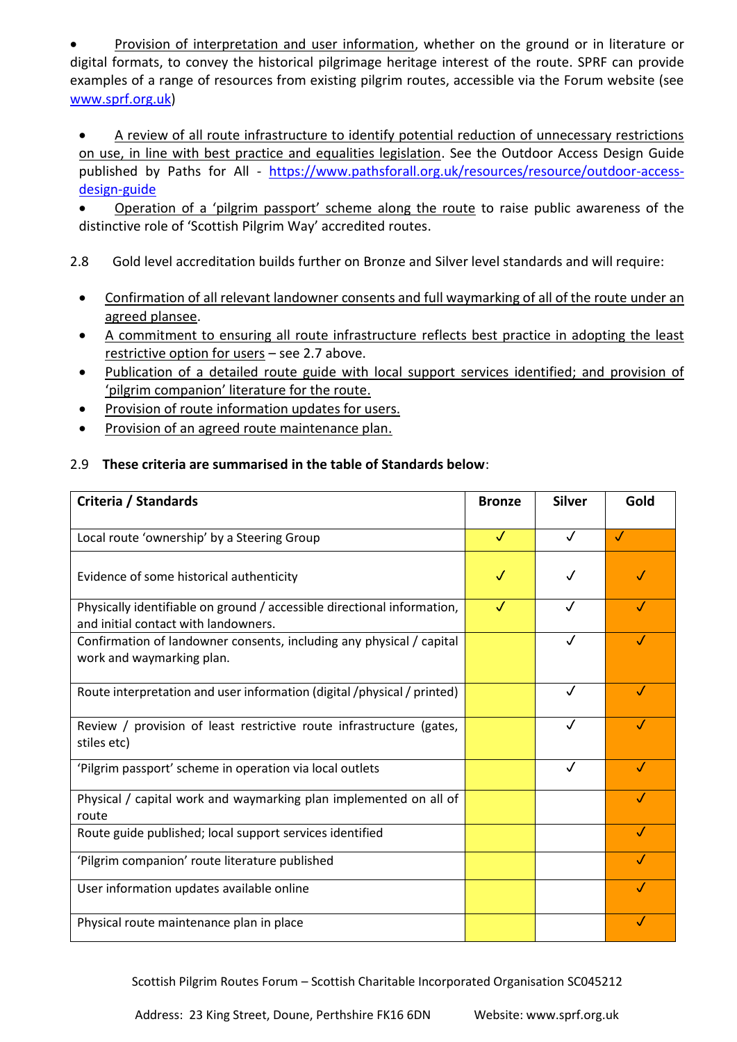Provision of interpretation and user information, whether on the ground or in literature or digital formats, to convey the historical pilgrimage heritage interest of the route. SPRF can provide examples of a range of resources from existing pilgrim routes, accessible via the Forum website (see [www.sprf.org.uk\)](http://www.sprf.org.uk/)

- A review of all route infrastructure to identify potential reduction of unnecessary restrictions on use, in line with best practice and equalities legislation. See the Outdoor Access Design Guide published by Paths for All - [https://www.pathsforall.org.uk/resources/resource/outdoor-access](https://www.pathsforall.org.uk/resources/resource/outdoor-access-design-guide)[design-guide](https://www.pathsforall.org.uk/resources/resource/outdoor-access-design-guide)
- Operation of a 'pilgrim passport' scheme along the route to raise public awareness of the distinctive role of 'Scottish Pilgrim Way' accredited routes.
- 2.8 Gold level accreditation builds further on Bronze and Silver level standards and will require:
	- Confirmation of all relevant landowner consents and full waymarking of all of the route under an agreed plansee.
	- A commitment to ensuring all route infrastructure reflects best practice in adopting the least restrictive option for users – see 2.7 above.
	- Publication of a detailed route guide with local support services identified; and provision of 'pilgrim companion' literature for the route.
	- Provision of route information updates for users.
	- Provision of an agreed route maintenance plan.

# 2.9 **These criteria are summarised in the table of Standards below**:

| Criteria / Standards                                                                                            | <b>Bronze</b> | <b>Silver</b> | Gold       |
|-----------------------------------------------------------------------------------------------------------------|---------------|---------------|------------|
| Local route 'ownership' by a Steering Group                                                                     | J             | J             | J          |
| Evidence of some historical authenticity                                                                        | J             |               |            |
| Physically identifiable on ground / accessible directional information,<br>and initial contact with landowners. | J             | $\cdot$       | $\sqrt{ }$ |
| Confirmation of landowner consents, including any physical / capital<br>work and waymarking plan.               |               |               | J          |
| Route interpretation and user information (digital /physical / printed)                                         |               | J             | $\sqrt{}$  |
| Review / provision of least restrictive route infrastructure (gates,<br>stiles etc)                             |               |               |            |
| 'Pilgrim passport' scheme in operation via local outlets                                                        |               | $\sqrt{}$     | $\sqrt{}$  |
| Physical / capital work and waymarking plan implemented on all of<br>route                                      |               |               |            |
| Route guide published; local support services identified                                                        |               |               | √          |
| 'Pilgrim companion' route literature published                                                                  |               |               |            |
| User information updates available online                                                                       |               |               | J          |
| Physical route maintenance plan in place                                                                        |               |               |            |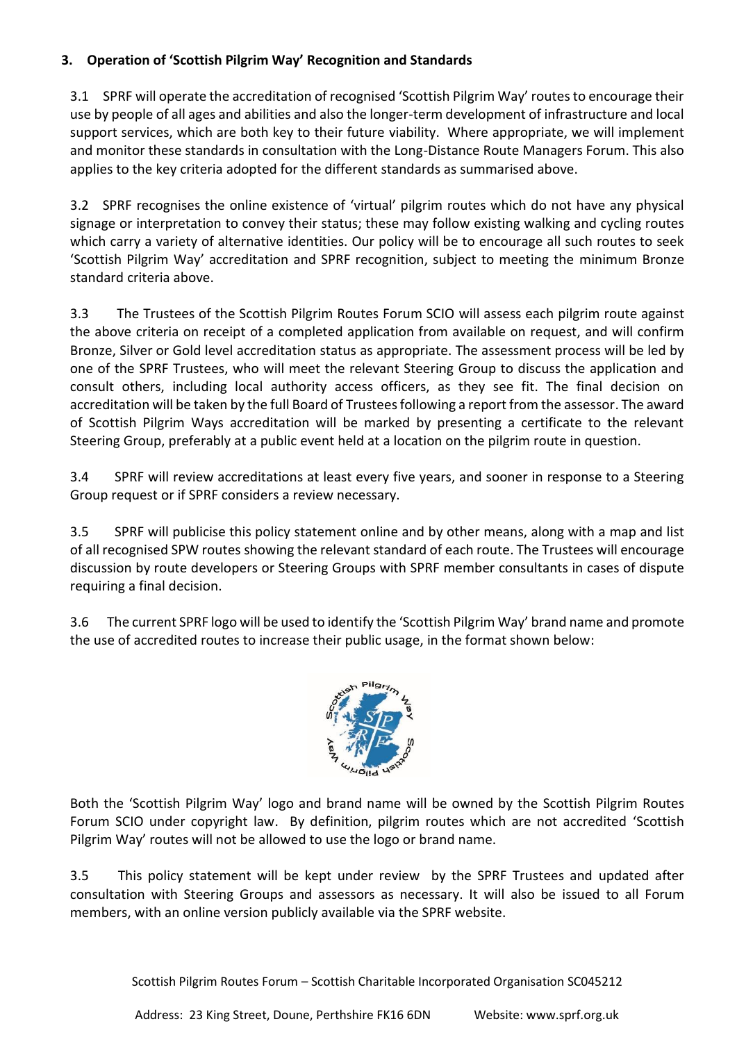# **3. Operation of 'Scottish Pilgrim Way' Recognition and Standards**

3.1SPRF will operate the accreditation of recognised 'Scottish Pilgrim Way' routes to encourage their use by people of all ages and abilities and also the longer-term development of infrastructure and local support services, which are both key to their future viability. Where appropriate, we will implement and monitor these standards in consultation with the Long-Distance Route Managers Forum. This also applies to the key criteria adopted for the different standards as summarised above.

3.2 SPRF recognises the online existence of 'virtual' pilgrim routes which do not have any physical signage or interpretation to convey their status; these may follow existing walking and cycling routes which carry a variety of alternative identities. Our policy will be to encourage all such routes to seek 'Scottish Pilgrim Way' accreditation and SPRF recognition, subject to meeting the minimum Bronze standard criteria above.

3.3 The Trustees of the Scottish Pilgrim Routes Forum SCIO will assess each pilgrim route against the above criteria on receipt of a completed application from available on request, and will confirm Bronze, Silver or Gold level accreditation status as appropriate. The assessment process will be led by one of the SPRF Trustees, who will meet the relevant Steering Group to discuss the application and consult others, including local authority access officers, as they see fit. The final decision on accreditation will be taken by the full Board of Trustees following a report from the assessor. The award of Scottish Pilgrim Ways accreditation will be marked by presenting a certificate to the relevant Steering Group, preferably at a public event held at a location on the pilgrim route in question.

3.4 SPRF will review accreditations at least every five years, and sooner in response to a Steering Group request or if SPRF considers a review necessary.

3.5 SPRF will publicise this policy statement online and by other means, along with a map and list of all recognised SPW routes showing the relevant standard of each route. The Trustees will encourage discussion by route developers or Steering Groups with SPRF member consultants in cases of dispute requiring a final decision.

3.6 The current SPRF logo will be used to identify the 'Scottish Pilgrim Way' brand name and promote the use of accredited routes to increase their public usage, in the format shown below:



Both the 'Scottish Pilgrim Way' logo and brand name will be owned by the Scottish Pilgrim Routes Forum SCIO under copyright law. By definition, pilgrim routes which are not accredited 'Scottish Pilgrim Way' routes will not be allowed to use the logo or brand name.

3.5 This policy statement will be kept under review by the SPRF Trustees and updated after consultation with Steering Groups and assessors as necessary. It will also be issued to all Forum members, with an online version publicly available via the SPRF website.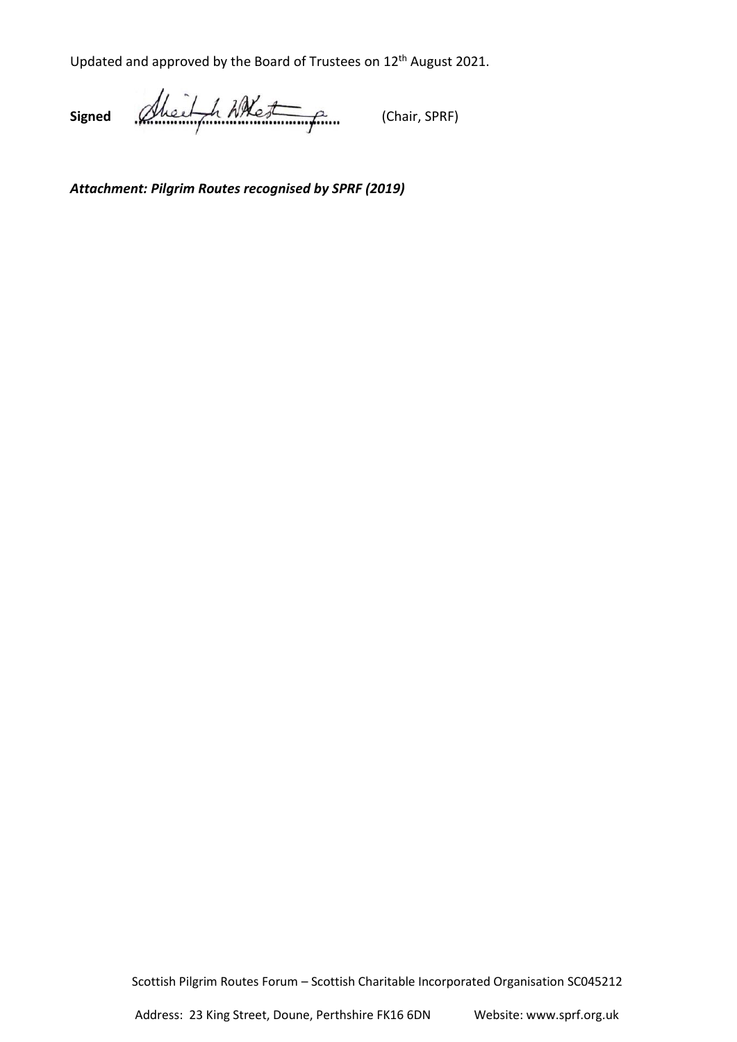Updated and approved by the Board of Trustees on 12<sup>th</sup> August 2021.

Signed Albert h Whe<del>st</del> fine (Chair, SPRF)

*Attachment: Pilgrim Routes recognised by SPRF (2019)*